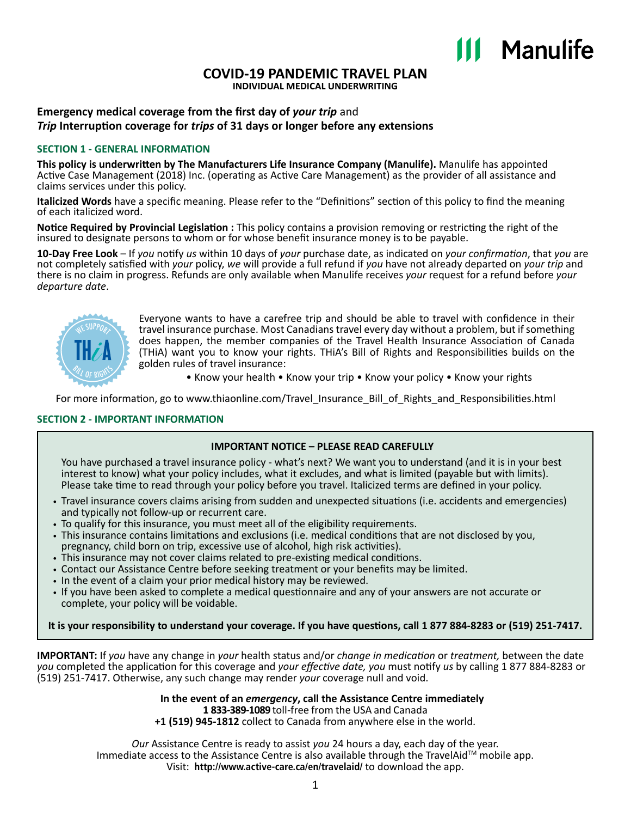# III Manulife

# **COVID-19 PANDEMIC TRAVEL PLAN**

**INDIVIDUAL MEDICAL UNDERWRITING**

#### **Emergency medical coverage from the first day of** *your trip* and *Trip* **Interruption coverage for** *trips* **of 31 days or longer before any extensions**

#### **SECTION 1 - GENERAL INFORMATION**

**This policy is underwritten by The Manufacturers Life Insurance Company (Manulife).** Manulife has appointed Active Case Management (2018) Inc. (operating as Active Care Management) as the provider of all assistance and claims services under this policy.

**Italicized Words** have a specific meaning. Please refer to the "Definitions" section of this policy to find the meaning of each italicized word.

**Notice Required by Provincial Legislation :** This policy contains a provision removing or restricting the right of the insured to designate persons to whom or for whose benefit insurance money is to be payable.

**10-Day Free Look** – If *you* notify *us* within 10 days of *your* purchase date, as indicated on *your confirmation*, that *you* are not completely satisfied with *your* policy, *we* will provide a full refund if *you* have not already departed on *your trip* and there is no claim in progress. Refunds are only available when Manulife receives *your* request for a refund before *your departure date*.



Everyone wants to have a carefree trip and should be able to travel with confidence in their travel insurance purchase. Most Canadians travel every day without a problem, but if something does happen, the member companies of the Travel Health Insurance Association of Canada (THiA) want you to know your rights. THiA's Bill of Rights and Responsibilities builds on the golden rules of travel insurance:

• Know your health • Know your trip • Know your policy • Know your rights

For more information, go to [www.thiaonline.com/Travel\\_Insurance\\_Bill\\_of\\_Rights\\_and\\_Responsibilities.html](www.thiaonline.com/Travel_Insurance_Bill_of_Rights_and_Responsibilities.html)

#### **SECTION 2 - IMPORTANT INFORMATION**

#### **IMPORTANT NOTICE – PLEASE READ CAREFULLY**

You have purchased a travel insurance policy - what's next? We want you to understand (and it is in your best interest to know) what your policy includes, what it excludes, and what is limited (payable but with limits). Please take time to read through your policy before you travel. Italicized terms are defined in your policy.

- Travel insurance covers claims arising from sudden and unexpected situations (i.e. accidents and emergencies) and typically not follow-up or recurrent care.
- To qualify for this insurance, you must meet all of the eligibility requirements.
- This insurance contains limitations and exclusions (i.e. medical conditions that are not disclosed by you, pregnancy, child born on trip, excessive use of alcohol, high risk activities).
- This insurance may not cover claims related to pre-existing medical conditions.
- Contact our Assistance Centre before seeking treatment or your benefits may be limited.
- In the event of a claim your prior medical history may be reviewed.
- If you have been asked to complete a medical questionnaire and any of your answers are not accurate or complete, your policy will be voidable.

**It is your responsibility to understand your coverage. If you have questions, call 1 877 884‑8283 or (519) 251‑7417.**

**IMPORTANT:** If *you* have any change in *your* health status and/or *change in medication* or *treatment,* between the date *you* completed the application for this coverage and *your effective date, you* must notify *us* by calling 1 877 884‑8283 or (519) 251‑7417. Otherwise, any such change may render *your* coverage null and void.

> **In the event of an** *emergency***, call the Assistance Centre immediately 1 833-389-1089** toll-free from the USA and Canada

**+1 (519) 945-1812** collect to Canada from anywhere else in the world.

*Our* Assistance Centre is ready to assist *you* 24 hours a day, each day of the year. Immediate access to the Assistance Centre is also available through the TravelAid™ mobile app. Visit: **<http://www.active-care.ca/en/travelaid/>** to download the app.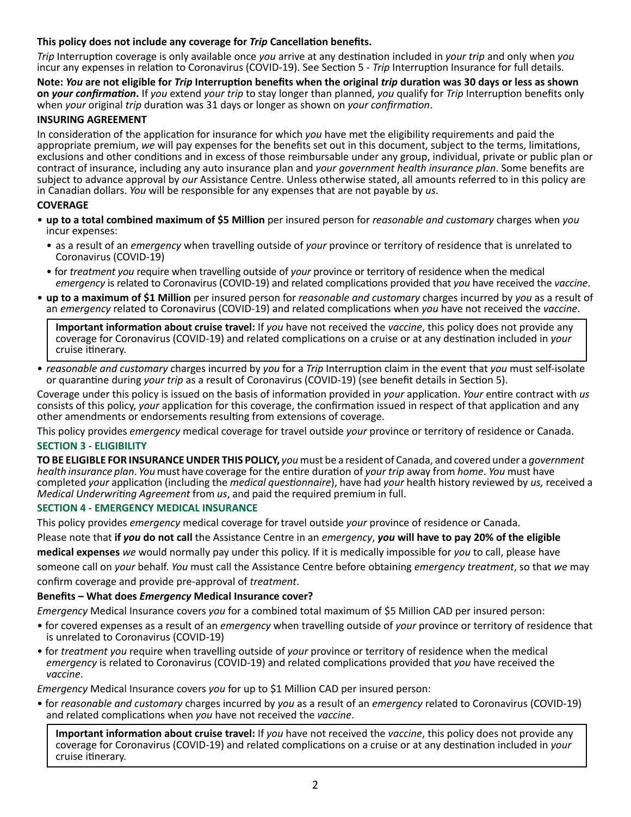#### **This policy does not include any coverage for** *Trip* **Cancellation benefits.**

*Trip* Interruption coverage is only available once *you* arrive at any destination included in *your trip* and only when *you* incur any expenses in relation to Coronavirus (COVID-19). See Section 5 - *Trip* Interruption Insurance for full details.

**Note:** *You* **are not eligible for** *Trip* **Interruption benefits when the original** *trip* **duration was 30 days or less as shown on** *your confirmation***.** If *you* extend *your trip* to stay longer than planned, *you* qualify for *Trip* Interruption benefits only when *your* original *trip* duration was 31 days or longer as shown on *your confirmation*.

#### **INSURING AGREEMENT**

In consideration of the application for insurance for which *you* have met the eligibility requirements and paid the appropriate premium, *we* will pay expenses for the benefits set out in this document, subject to the terms, limitations, exclusions and other conditions and in excess of those reimbursable under any group, individual, private or public plan or contract of insurance, including any auto insurance plan and *your government health insurance plan*. Some benefits are subject to advance approval by *our* Assistance Centre. Unless otherwise stated, all amounts referred to in this policy are in Canadian dollars. *You* will be responsible for any expenses that are not payable by *us*.

#### **COVERAGE**

- **up to a total combined maximum of \$5 Million** per insured person for *reasonable and customary* charges when *you* incur expenses:
	- as a result of an *emergency* when travelling outside of *your* province or territory of residence that is unrelated to Coronavirus (COVID-19)
	- for *treatment you* require when travelling outside of *your* province or territory of residence when the medical *emergency* is related to Coronavirus (COVID-19) and related complications provided that *you* have received the *vaccine*.
- **up to a maximum of \$1 Million** per insured person for *reasonable and customary* charges incurred by *you* as a result of an *emergency* related to Coronavirus (COVID-19) and related complications when *you* have not received the *vaccine*.

**Important information about cruise travel:** If *you* have not received the *vaccine*, this policy does not provide any coverage for Coronavirus (COVID-19) and related complications on a cruise or at any destination included in *your* cruise itinerary.

• *reasonable and customary* charges incurred by *you* for a *Trip* Interruption claim in the event that *you* must self-isolate or quarantine during *your trip* as a result of Coronavirus (COVID-19) (see benefit details in Section 5).

Coverage under this policy is issued on the basis of information provided in *your* application. *Your* entire contract with *us* consists of this policy, *your* application for this coverage, the confirmation issued in respect of that application and any other amendments or endorsements resulting from extensions of coverage.

This policy provides *emergency* medical coverage for travel outside *your* province or territory of residence or Canada.

#### **SECTION 3 - ELIGIBILITY**

**TO BE ELIGIBLE FOR INSURANCE UNDER THIS POLICY,** *you* must be a resident of Canada, and covered under a *government health insurance plan*. *You* must have coverage for the entire duration of *your trip* away from *home*. *You* must have completed *your* application (including the *medical questionnaire*), have had *your* health history reviewed by *us,* received a *Medical Underwriting Agreement* from *us*, and paid the required premium in full.

#### **SECTION 4 - EMERGENCY MEDICAL INSURANCE**

This policy provides *emergency* medical coverage for travel outside *your* province of residence or Canada.

Please note that **if** *you* **do not call** the Assistance Centre in an *emergency*, *you* **will have to pay 20% of the eligible**

**medical expenses** *we* would normally pay under this policy. If it is medically impossible for *you* to call, please have

someone call on *your* behalf. *You* must call the Assistance Centre before obtaining *emergency treatment*, so that *we* may confirm coverage and provide pre‑approval of *treatment*.

#### **Benefits – What does** *Emergency* **Medical Insurance cover?**

*Emergency* Medical Insurance covers *you* for a combined total maximum of \$5 Million CAD per insured person:

- for covered expenses as a result of an *emergency* when travelling outside of *your* province or territory of residence that is unrelated to Coronavirus (COVID-19)
- for *treatment you* require when travelling outside of *your* province or territory of residence when the medical *emergency* is related to Coronavirus (COVID-19) and related complications provided that *you* have received the *vaccine*.

*Emergency* Medical Insurance covers *you* for up to \$1 Million CAD per insured person:

• for *reasonable and customary* charges incurred by *you* as a result of an *emergency* related to Coronavirus (COVID-19) and related complications when *you* have not received the *vaccine*.

Important information about cruise travel: If you have not received the vaccine, this policy does not provide any coverage for Coronavirus (COVID-19) and related complications on a cruise or at any destination included in your cruise itinerary.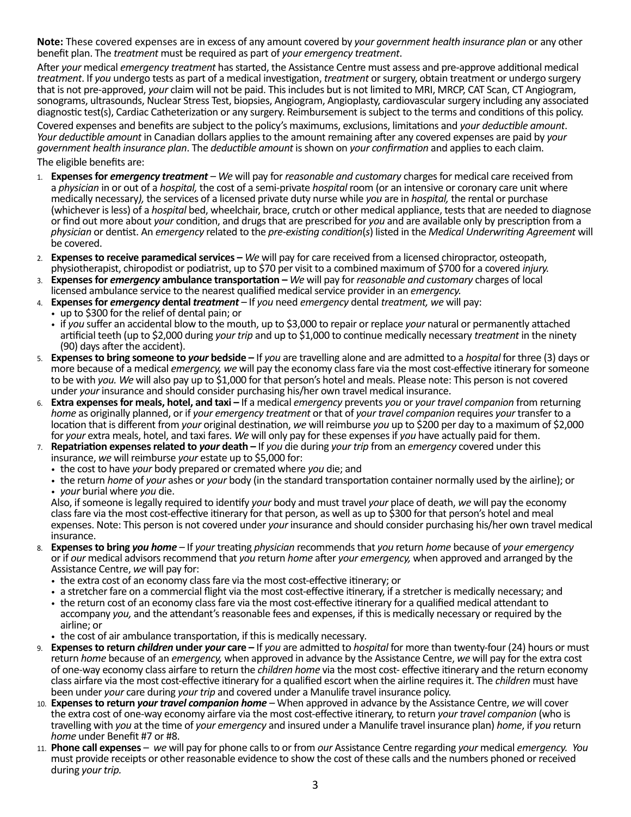**Note:** These covered expenses are in excess of any amount covered by *your government health insurance plan* or any other benefit plan. The *treatment* must be required as part of *your emergency treatment*.

After *your* medical *emergency treatment* has started, the Assistance Centre must assess and pre‑approve additional medical *treatment*. If *you* undergo tests as part of a medical investigation, *treatment* or surgery, obtain treatment or undergo surgery that is not pre‑approved, *your* claim will not be paid. This includes but is not limited to MRI, MRCP, CAT Scan, CT Angiogram, sonograms, ultrasounds, Nuclear Stress Test, biopsies, Angiogram, Angioplasty, cardiovascular surgery including any associated diagnostic test(s), Cardiac Catheterization or any surgery. Reimbursement is subject to the terms and conditions of this policy.

Covered expenses and benefits are subject to the policy's maximums, exclusions, limitations and your deductible amount.<br>Your deductible amount in Canadian dollars applies to the amount remaining after any covered expenses *government health insurance plan*. The *deductible amount* is shown on *your confirmation* and applies to each claim.

The eligible benefits are:

- 1. Expenses for emergency treatment We will pay for reasonable and customary charges for medical care received from a physician in or out of a hospital, the cost of a semi-private hospital room (or an intensive or coronary care unit where medically necessary), the services of a licensed private duty nurse while you are in hospital, the rental or purchase (whichever is less) of a *hospital* bed, wheelchair, brace, crutch or other medical appliance, tests that are needed to diagnose or find out more about your condition, and drugs that are prescribed for you and are available only by prescription from a physician or dentist. An emergency related to the pre-existing condition(s) listed in the Medical Underwriting Agreement will be covered.
- 2. Expenses to receive paramedical services We will pay for care received from a licensed chiropractor, osteopath, physiotherapist, chiropodist or podiatrist, up to \$70 per visit to a combined maximum of \$700 for a covered *injury*.
- 3. **Expenses for emergency ambulance transportation –** We will pay for reasonable and customary charges of local licensed ambulance service to the nearest qualified medical service provider in an *emergency*.
- 4. Expenses for *emergency* dental *treatment* If you need *emergency* dental *treatment*, we will pay:
- up to \$300 for the relief of dental pain; or
	- if *you* suffer an accidental blow to the mouth, up to \$3,000 to repair or replace *your* natural or permanently attached artificial teeth (up to \$2,000 during *your trip* and up to \$1,000 to continue medically necessary *treatment* in the ninety (90) days after the accident).
- 5. Expenses to bring someone to your bedside If you are travelling alone and are admitted to a hospital for three (3) days or more because of a medical emergency, we will pay the economy class fare via the most cost-effective itinerary for someone to be with you. We will also pay up to \$1,000 for that person's hotel and meals. Please note: This person is not covered under your insurance and should consider purchasing his/her own travel medical insurance.
- 6. Extra expenses for meals, hotel, and taxi If a medical emergency prevents you or your travel companion from returning home as originally planned, or if your emergency treatment or that of your travel companion requires your transfer to a location that is different from your original destination, we will reimburse you up to \$200 per day to a maximum of \$2,000 for your extra meals, hotel, and taxi fares. We will only pay for these expenses if you have actually paid for them.
- 7. Repatriation expenses related to your death If you die during your trip from an emergency covered under this insurance, we will reimburse your estate up to \$5,000 for:
	- the cost to have *your* body prepared or cremated where *you* die; and
	- the return *home* of *your* ashes or *your* body (in the standard transportation container normally used by the airline); or • *your* burial where *you* die.

Also, if someone is legally required to identify *your* body and must travel *your* place of death, *we* will pay the economy class fare via the most cost-effective itinerary for that person, as well as up to \$300 for that person's hotel and meal expenses. Note: This person is not covered under *your* insurance and should consider purchasing his/her own travel medical insurance.

- 8. Expenses to bring vou home If your treating physician recommends that you return home because of your emergency or if our medical advisors recommend that you return home after your emergency, when approved and arranged by the Assistance Centre, we will pay for:
	- the extra cost of an economy class fare via the most cost-effective itinerary; or
	- a stretcher fare on a commercial flight via the most cost-effective itinerary, if a stretcher is medically necessary; and
	- the return cost of an economy class fare via the most cost-effective itinerary for a qualified medical attendant to accompany *you,* and the attendant's reasonable fees and expenses, if this is medically necessary or required by the airline; or
	- the cost of air ambulance transportation, if this is medically necessary*.*
- 9. Expenses to return children under your care If you are admitted to hospital for more than twenty-four (24) hours or must return home because of an emergency, when approved in advance by the Assistance Centre, we will pay for the extra cost of one-way economy class airfare to return the *children home* via the most cost- effective itinerary and the return economy class airfare via the most cost-effective itinerary for a qualified escort when the airline requires it. The *children* must have been under your care during your trip and covered under a Manulife travel insurance policy.
- 10. Expenses to return your travel companion home When approved in advance by the Assistance Centre, we will cover the extra cost of one-way economy airfare via the most cost-effective itinerary, to return your travel companion (who is travelling with you at the time of your emergency and insured under a Manulife travel insurance plan) home, if you return home under Benefit #7 or #8.
- 11. **Phone call expenses**  *we* will pay for phone calls to or from *our* Assistance Centre regarding *your* medical *emergency. You*  must provide receipts or other reasonable evidence to show the cost of these calls and the numbers phoned or received during *your trip.*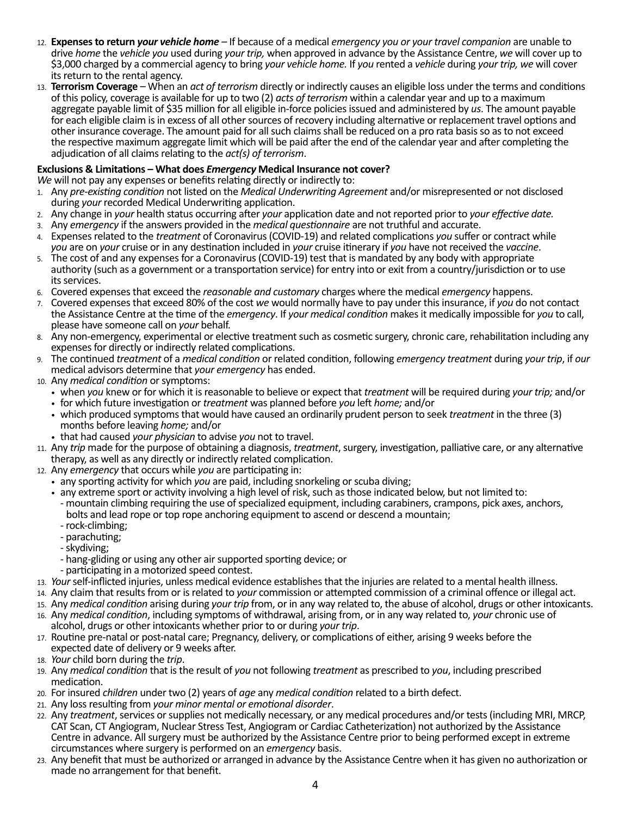- 12. **Expenses to return** *your vehicle home* If because of a medical *emergency you or your travel companion* are unable to drive *home* the *vehicle you* used during *your trip,* when approved in advance by the Assistance Centre, *we* will cover up to \$3,000 charged by a commercial agency to bring *your vehicle home.* If *you* rented a *vehicle* during *your trip, we* will cover its return to the rental agency.
- 13. **Terrorism Coverage** When an *act of terrorism* directly or indirectly causes an eligible loss under the terms and conditions of this policy, coverage is available for up to two (2) *acts of terrorism* within a calendar year and up to a maximum aggregate payable limit of \$35 million for all eligible in‑force policies issued and administered by *us*. The amount payable for each eligible claim is in excess of all other sources of recovery including alternative or replacement travel options and other insurance coverage. The amount paid for all such claims shall be reduced on a pro rata basis so as to not exceed the respective maximum aggregate limit which will be paid after the end of the calendar year and after completing the adjudication of all claims relating to the *act(s) of terrorism*.

### **Exclusions & Limitations – What does** *Emergency* **Medical Insurance not cover?**

- *We* will not pay any expenses or benefits relating directly or indirectly to:
- 1. Any *pre-existing condition* not listed on the *Medical Underwriting Agreement* and/or misrepresented or not disclosed during *your* recorded Medical Underwriting application.
- 2. Any change in *your* health status occurring after *your* application date and not reported prior to *your effective date.*
- 3. Any *emergency* if the answers provided in the *medical questionnaire* are not truthful and accurate.
- 4. Expenses related to the *treatment* of Coronavirus (COVID-19) and related complications *you* suffer or contract while *you* are on *your* cruise or in any destination included in *your* cruise itinerary if *you* have not received the *vaccine*.
- 5. The cost of and any expenses for a Coronavirus (COVID-19) test that is mandated by any body with appropriate authority (such as a government or a transportation service) for entry into or exit from a country/jurisdiction or to use its services.
- 6. Covered expensesthat exceed the *reasonable and customary* charges where the medical *emergency* happens.
- 7. Covered expensesthat exceed 80% of the cost *we* would normally have to pay under this insurance, if *you* do not contact the Assistance Centre at the time of the *emergency*. If *your medical condition* makes it medically impossible for *you* to call, please have someone call on *your* behalf.
- 8. Any non-emergency, experimental or elective treatment such as cosmetic surgery, chronic care, rehabilitation including any expenses for directly or indirectly related complications.
- 9. The continued *treatment* of a *medical condition* or related condition, following *emergency treatment* during *your trip*, if *our* medical advisors determine that *your emergency* has ended.
- 10. Any *medical condition* or symptoms:
	- when *you* knew or for which it is reasonable to believe or expect that *treatment* will be required during *your trip;* and/or
	- for which future investigation or *treatment* was planned before *you* left *home;* and/or
	- which produced symptoms that would have caused an ordinarily prudent person to seek *treatment* in the three (3) months before leaving *home;* and/or
	- that had caused *your physician* to advise *you* not to travel.
- 11. Any *trip* made for the purpose of obtaining a diagnosis, *treatment*, surgery, investigation, palliative care, or any alternative therapy, as well as any directly or indirectly related complication.
- 12. Any *emergency* that occurs while *you* are participating in:
	-
	- any sporting activity for which *you* are paid, including snorkeling or scuba diving; - mountain climbing requiring the use of specialized equipment, including carabiners, crampons, pick axes, anchors,
		-
		-
		-
		- bolts and lead rope or top rope anchoring equipment to ascend or descend a mountain;<br>- rock-climbing;<br>- parachuting;<br>- skydiving;<br>- skydiving;<br>- hang-gliding or using any other air supported sporting device; or<br>- participa
	-
- 13. *Your* self-inflicted injuries, unless medical evidence establishes that the injuries are related to a mental health illness.
- 14. Any claim that results from or is related to *your* commission or attempted commission of a criminal offence or illegal act.
- 15. Any *medical condition* arising during *your trip* from, or in any way related to, the abuse of alcohol, drugs or other intoxicants.
- 16. Any *medical condition*, including symptoms of withdrawal, arising from, or in any way related to, *your* chronic use of alcohol, drugs or other intoxicants whether prior to or during *your trip*.
- 17. Routine pre-natal or post-natal care; Pregnancy, delivery, or complications of either, arising 9 weeks before the expected date of delivery or 9 weeks after.
- 18. *Your* child born during the *trip*.
- 19. Any *medical condition* that is the result of *you* not following *treatment* as prescribed to *you*, including prescribed medication.
- 20. For insured *children* under two (2) years of *age* any *medical condition* related to a birth defect.
- 21. Any loss resulting from *your minor mental or emotional disorder*.
- 22. Any *treatment*, services or supplies not medically necessary, or any medical procedures and/or tests (including MRI, MRCP, CAT Scan, CT Angiogram, Nuclear Stress Test, Angiogram or Cardiac Catheterization) not authorized by the Assistance Centre in advance. All surgery must be authorized by the Assistance Centre prior to being performed except in extreme circumstances where surgery is performed on an *emergency* basis.
- 23. Any benefit that must be authorized or arranged in advance by the Assistance Centre when it has given no authorization or made no arrangement for that benefit.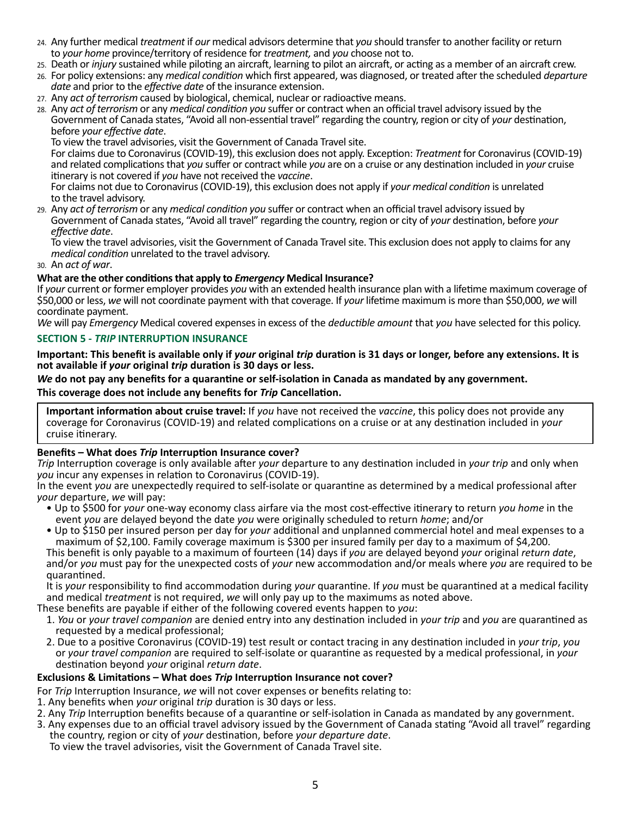- 24. Any further medical *treatment* if *our* medical advisors determine that *you* should transfer to another facility or return to *your home* province/territory of residence for *treatment,* and *you* choose not to.
- 25. Death or *injury* sustained while piloting an aircraft, learning to pilot an aircraft, or acting as a member of an aircraft crew.
- 26. For policy extensions: any *medical condition* which first appeared, was diagnosed, or treated after the scheduled *departure date* and prior to the *effective date* of the insurance extension.
- 27. Any *act of terrorism* caused by biological, chemical, nuclear or radioactive means.
- 28. Any *act of terrorism* or any *medical condition you* suffer or contract when an official travel advisory issued by the Government of Canada states, "Avoid all non-essential travel" regarding the country, region or city of *your* destination,

To view the travel advisories, visit the Government of Canada Travel site.

For claims due to Coronavirus (COVID-19), this exclusion does not apply. Exception: *Treatment* for Coronavirus (COVID-19) and related complications that *you* suffer or contract while *you* are on a cruise or any destination included in *your* cruise

For claims not due to Coronavirus (COVID-19), this exclusion does not apply if *your medical condition* is unrelated to the travel advisory.

29. Any *act of terrorism* or any *medical condition you* suffer or contract when an official travel advisory issued by effective date.<br>To view the travel advisories, visit the Government of Canada Travel site. This exclusion does not apply to claims for any

*medical condition* unrelated to the travel advisory.

30. An *act of war*.

#### **What are the other conditions that apply to** *Emergency* **Medical Insurance?**

If *your* current or former employer provides *you* with an extended health insurance plan with a lifetime maximum coverage of \$50,000 or less, *we* will not coordinate payment with that coverage. If *your* lifetime maximum is more than \$50,000, *we* will coordinate payment.

*We* will pay *Emergency* Medical covered expenses in excess of the *deductible amount* that *you* have selected for this policy.

#### **SECTION 5 -** *TRIP* **INTERRUPTION INSURANCE**

**Important: This benefit is available only if** *your* **original** *trip* **duration is 31 days or longer, before any extensions. It is not available if** *your* **original** *trip* **duration is 30 days or less.**

#### *We* **do not pay any benefits for a quarantine or self-isolation in Canada as mandated by any government. This coverage does not include any benefits for** *Trip* **Cancellation.**

**Important information about cruise travel:** If *you* have not received the *vaccine*, this policy does not provide any coverage for Coronavirus (COVID‑19) and related complications on a cruise or at any destination included in *your* cruise itinerary.

#### **Benefits – What does** *Trip* **Interruption Insurance cover?**

*Trip* Interruption coverage is only available after *your* departure to any destination included in *your trip* and only when *you* incur any expenses in relation to Coronavirus (COVID‑19).

In the event *you* are unexpectedly required to self‑isolate or quarantine as determined by a medical professional after *your* departure, *we* will pay:

- Up to \$500 for *your* one-way economy class airfare via the most cost‑effective itinerary to return *you home* in the event *you* are delayed beyond the date *you* were originally scheduled to return *home*; and/or
- Up to \$150 per insured person per day for *your* additional and unplanned commercial hotel and meal expenses to a maximum of \$2,100. Family coverage maximum is \$300 per insured family per day to a maximum of \$4,200.<br>This benefit is only payable to a maximum of fourteen (14) days if you are delayed beyond your original return date,

and/or you must pay for the unexpected costs of your new accommodation and/or meals where you are required to be quarantined.

It is *your* responsibility to find accommodation during *your* quarantine. If *you* must be quarantined at a medical facility and medical *treatment* is not required, *we* will only pay up to the maximums as noted above.

- These benefits are payable if either of the following covered events happen to *you*:
	- 1. *You* or *your travel companion* are denied entry into any destination included in *your trip* and *you* are quarantined as requested by a medical professional;
	- 2. Due to a positive Coronavirus (COVID-19) test result or contact tracing in any destination included in *your trip*, *you* or *your travel companion* are required to self-isolate or quarantine as requested by a medical professional, in *your* destination beyond *your* original *return date*.

#### **Exclusions & Limitations – What does** *Trip* **Interruption Insurance not cover?**

For *Trip* Interruption Insurance, *we* will not cover expenses or benefits relating to:

- 1. Any benefits when *your* original *trip* duration is 30 days or less.
- 2. Any *Trip* Interruption benefits because of a quarantine or self-isolation in Canada as mandated by any government.
- 3. Any expenses due to an official travel advisory issued by the Government of Canada stating "Avoid all travel" regarding the country, region or city of *your* destination, before *your departure date*.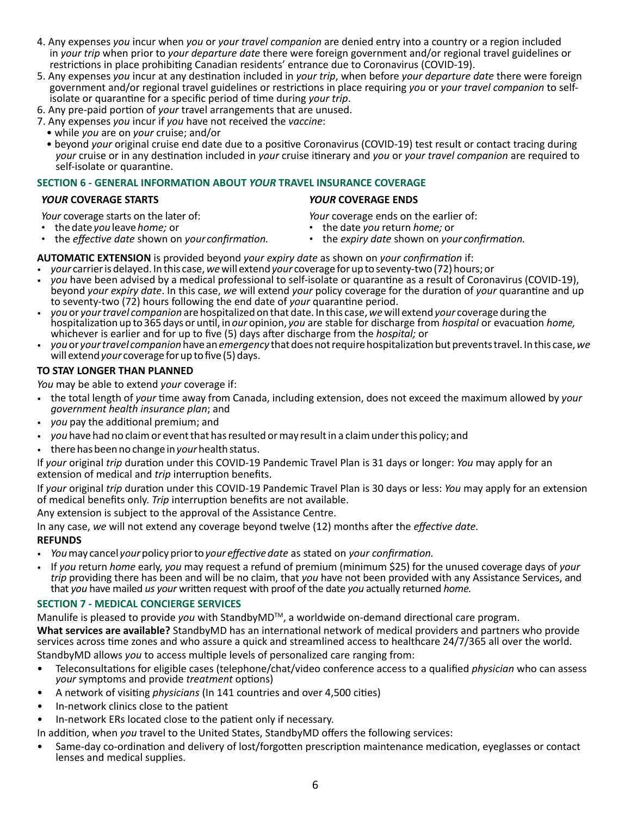- 4. Any expenses *you* incur when *you* or *your travel companion* are denied entry into a country or a region included in *your trip* when prior to *your departure date* there were foreign government and/or regional travel guidelines or restrictions in place prohibiting Canadian residents' entrance due to Coronavirus (COVID-19).
- 5. Any expenses *you* incur at any destination included in *your trip*, when before *your departure date* there were foreign government and/or regional travel guidelines or restrictions in place requiring you or your travel companion to self-<br>isolate or quarantine for a specific period of time during your trip.<br>6. Any pre-paid portion of your tr
- 
- 7. Any expenses *you* incur if *you* have not received the *vaccine*:
	- while *you* are on *your* cruise; and/or
	- beyond *your* original cruise end date due to a positive Coronavirus (COVID-19) test result or contact tracing during *your* cruise or in any destination included in *your* cruise itinerary and *you* or *your travel companion* are required to self-isolate or quarantine.

#### **SECTION 6 - GENERAL INFORMATION ABOUT** *YOUR* **TRAVEL INSURANCE COVERAGE**

#### *YOUR* **COVERAGE STARTS** *YOUR* **COVERAGE ENDS**

*Your* coverage starts on the later of:

- the date *you* leave *home;* or
- the *effective date* shown on *your confirmation.*
- *Your* coverage ends on the earlier of:
- the date *you* return *home;* or
- *•* the *expiry date* shown on *your confirmation.*

#### **AUTOMATIC EXTENSION** is provided beyond *your expiry date* as shown on *your confirmation* if:

- *your* carrier is delayed. In this case, *we* will extend *your* coverage for up to seventy-two (72) hours; or
- *you* have been advised by a medical professional to self-isolate or quarantine as a result of Coronavirus (COVID-19), beyond *your expiry date*. In this case, *we* will extend *your* policy coverage for the duration of *your* quarantine and up to seventy-two (72) hours following the end date of *your* quarantine period.
- *you* or *your travel companion* are hospitalized on that date. In this case, *we* will extend *your* coverage during the hospitalization up to 365 days or until, in *our* opinion, *you* are stable for discharge from *hospital* or evacuation *home,* whichever is earlier and for up to five (5) days after discharge from the *hospital;* or
- *you* or *your travel companion* have an *emergency* that does not require hospitalization but prevents travel. In this case, *we*  will extend *your* coverage for up to five (5) days.

#### **TO STAY LONGER THAN PLANNED**

*You* may be able to extend *your* coverage if:

- the total length of *your* time away from Canada, including extension, does not exceed the maximum allowed by *your government health insurance plan*; and
- *you* pay the additional premium; and
- *you* have had no claim or event that has resulted or may result in a claim under this policy; and
- there has been no change in *your* health status.

If *your* original *trip* duration under this COVID‑19 Pandemic Travel Plan is 31 days or longer: *You* may apply for an extension of medical and *trip* interruption benefits.

If *your* original *trip* duration under this COVID‑19 Pandemic Travel Plan is 30 days or less: *You* may apply for an extension of medical benefits only. *Trip* interruption benefits are not available.

Any extension is subject to the approval of the Assistance Centre.

In any case, *we* will not extend any coverage beyond twelve (12) months after the *effective date.*

#### **REFUNDS**

- *You* may cancel *your* policy prior to *your effective date* as stated on *your confirmation.*
- If *you* return *home* early, *you* may request a refund of premium (minimum \$25) for the unused coverage days of *your trip* providing there has been and will be no claim, that *you* have not been provided with any Assistance Services, and that *you* have mailed *us your* written request with proof of the date *you* actually returned *home.*

#### **SECTION 7 - MEDICAL CONCIERGE SERVICES**

Manulife is pleased to provide *you* with StandbyMD<sup>™</sup>, a worldwide on-demand directional care program.

**What services are available?** StandbyMD has an international network of medical providers and partners who provide services across time zones and who assure a quick and streamlined access to healthcare 24/7/365 all over the world. StandbyMD allows *you* to access multiple levels of personalized care ranging from:

- Teleconsultations for eligible cases (telephone/chat/video conference access to a qualified *physician* who can assess *your* symptoms and provide *treatment* options)
- A network of visiting *physicians* (In 141 countries and over 4,500 cities)
- In-network clinics close to the patient
- In-network ERs located close to the patient only if necessary.

In addition, when *you* travel to the United States, StandbyMD offers the following services:

• Same-day co-ordination and delivery of lost/forgotten prescription maintenance medication, eyeglasses or contact lenses and medical supplies.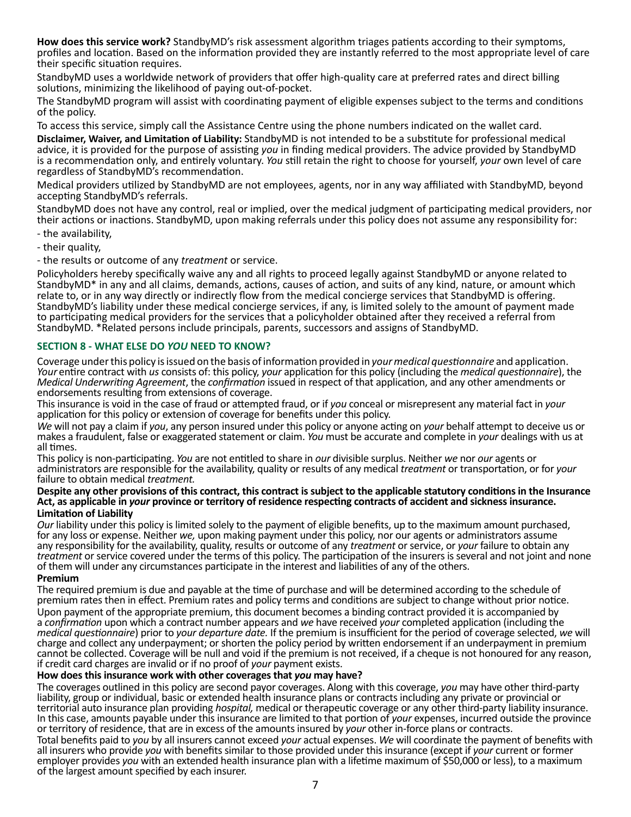**How does this service work?** StandbyMD's risk assessment algorithm triages patients according to their symptoms, profiles and location. Based on the information provided they are instantly referred to the most appropriate level of care their specific situation requires.

StandbyMD uses a worldwide network of providers that offer high-quality care at preferred rates and direct billing solutions, minimizing the likelihood of paying out-of-pocket.

The StandbyMD program will assist with coordinating payment of eligible expenses subject to the terms and conditions of the policy.

To access this service, simply call the Assistance Centre using the phone numbers indicated on the wallet card.

**Disclaimer, Waiver, and Limitation of Liability:** StandbyMD is not intended to be a substitute for professional medical advice, it is provided for the purpose of assisting *you* in finding medical providers. The advice provided by StandbyMD is a recommendation only, and entirely voluntary. *You* still retain the right to choose for yourself, *your* own level of care regardless of StandbyMD's recommendation.

Medical providers utilized by StandbyMD are not employees, agents, nor in any way affiliated with StandbyMD, beyond accepting StandbyMD's referrals.

StandbyMD does not have any control, real or implied, over the medical judgment of participating medical providers, nor their actions or inactions. StandbyMD, upon making referrals under this policy does not assume any responsibility for:

- the availability,

- their quality,

- the results or outcome of any *treatment* or service.

Policyholders hereby specifically waive any and all rights to proceed legally against StandbyMD or anyone related to StandbyMD\* in any and all claims, demands, actions, causes of action, and suits of any kind, nature, or amount which relate to, or in any way directly or indirectly flow from the medical concierge services that StandbyMD is offering. StandbyMD's liability under these medical concierge services, if any, is limited solely to the amount of payment made to participating medical providers for the services that a policyholder obtained after they received a referral from StandbyMD. \*Related persons include principals, parents, successors and assigns of StandbyMD.

#### **SECTION 8 - WHAT ELSE DO** *YOU* **NEED TO KNOW?**

Coverage under this policy is issued on the basis of information provided in *your medical questionnaire* and application. *Your* entire contract with *us* consists of: this policy, *your* application for this policy (including the *medical questionnaire*), the *Medical Underwriting Agreement*, the *confirmation* issued in respect of that application, and any other amendments or endorsements resulting from extensions of coverage.

This insurance is void in the case of fraud or attempted fraud, or if *you* conceal or misrepresent any material fact in *your* application for this policy or extension of coverage for benefits under this policy.

*We* will not pay a claim if *you*, any person insured under this policy or anyone acting on *your* behalf attempt to deceive us or makes a fraudulent, false or exaggerated statement or claim. *You* must be accurate and complete in *your* dealings with us at all times.

This policy is non‑participating. *You* are not entitled to share in *our* divisible surplus. Neither *we* nor *our* agents or administrators are responsible for the availability, quality or results of any medical *treatment* or transportation, or for *your*  failure to obtain medical *treatment.*

#### **Despite any other provisions of this contract, this contract is subject to the applicable statutory conditions in the Insurance Act, as applicable in** *your* **province or territory of residence respecting contracts of accident and sickness insurance. Limitation of Liability**

*Our* liability under this policy is limited solely to the payment of eligible benefits, up to the maximum amount purchased, for any loss or expense. Neither *we,* upon making payment under this policy, nor our agents or administrators assume any responsibility for the availability, quality, results or outcome of any *treatment* or service, or *your* failure to obtain any *treatment* or service covered under the terms of this policy. The participation of the insurers is several and not joint and none of them will under any circumstances participate in the interest and liabilities of any of the others. **Premium**

#### The required premium is due and payable at the time of purchase and will be determined according to the schedule of premium rates then in effect. Premium rates and policy terms and conditions are subject to change without prior notice. Upon payment of the appropriate premium, this document becomes a binding contract provided it is accompanied by a *confirmation* upon which a contract number appears and *we* have received *your* completed application (including the *medical questionnaire*) prior to *your departure date.* If the premium is insufficient for the period of coverage selected, *we* will charge and collect any underpayment; or shorten the policy period by written endorsement if an underpayment in premium cannot be collected. Coverage will be null and void if the premium is not received, if a cheque is not honoured for any reason, if credit card charges are invalid or if no proof of *your* payment exists.

#### **How does this insurance work with other coverages that** *you* **may have?**

The coverages outlined in this policy are second payor coverages. Along with this coverage, you may have other third-party liability, group or individual, basic or extended health insurance plans or contracts including any private or provincial or territorial auto insurance plan providing *hospital,* medical or therapeutic coverage or any other third‑party liability insurance. In this case, amounts payable under this insurance are limited to that portion of *your* expenses, incurred outside the province or territory of residence, that are in excess of the amounts insured by *your* other in‑force plans or contracts.

Total benefits paid to *you* by all insurers cannot exceed *your* actual expenses. *We* will coordinate the payment of benefits with all insurers who provide *you* with benefits similar to those provided under this insurance (except if *your* current or former employer provides *you* with an extended health insurance plan with a lifetime maximum of \$50,000 or less), to a maximum of the largest amount specified by each insurer.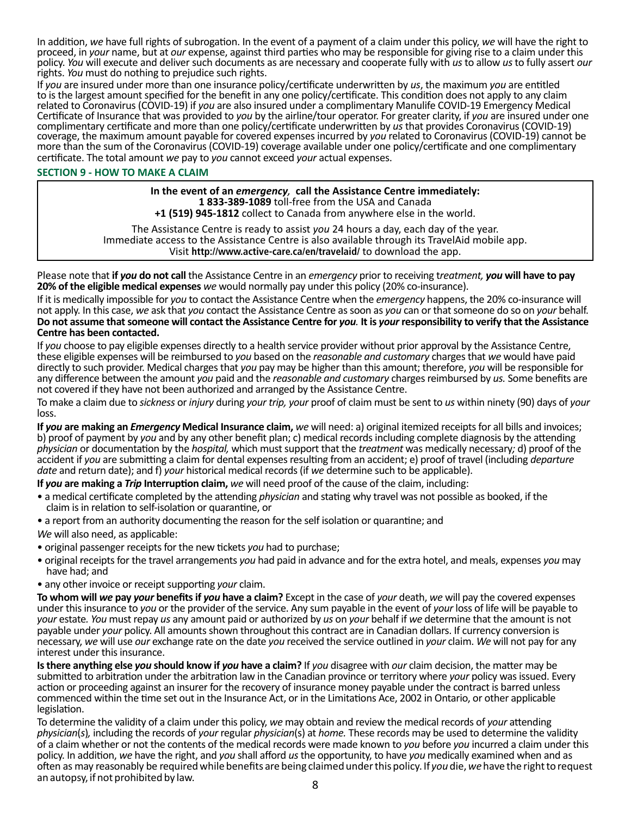In addition, *we* have full rights of subrogation. In the event of a payment of a claim under this policy, *we* will have the right to proceed, in *your* name, but at *our* expense, against third parties who may be responsible for giving rise to a claim under this policy. *You* will execute and deliver such documents as are necessary and cooperate fully with *us* to allow *us* to fully assert *our*  rights. *You* must do nothing to prejudice such rights.

If *you* are insured under more than one insurance policy/certificate underwritten by *us*, the maximum *you* are entitled to is the largest amount specified for the benefit in any one policy/certificate. This condition does not apply to any claim related to Coronavirus (COVID‑19) if *you* are also insured under a complimentary Manulife COVID‑19 Emergency Medical Certificate of Insurance that was provided to *you* by the airline/tour operator. For greater clarity, if *you* are insured under one complimentary certificate and more than one policy/certificate underwritten by us that provides Coronavirus (COVID-19) coverage, the maximum amount payable for covered expenses incurred by *you* related to Coronavirus (COVID‑19) cannot be more than the sum of the Coronavirus (COVID-19) coverage available under one policy/certificate and one complimentary certificate. The total amount *we* pay to *you* cannot exceed *your* actual expenses.

#### **SECTION 9 - HOW TO MAKE A CLAIM**

**In the event of an** *emergency,* **call the Assistance Centre immediately: 1 833-389-1089** toll-free from the USA and Canada **+1 (519) 945-1812** collect to Canada from anywhere else in the world.

The Assistance Centre is ready to assist *you* 24 hours a day, each day of the year. Immediate access to the Assistance Centre is also available through its TravelAid mobile app. Visit **<http://www.active-care.ca/en/travelaid/>** to download the app.

Please note that **if** *you* **do not call** the Assistance Centre in an *emergency* prior to receiving t*reatment, you* **will have to pay 20% of the eligible medical expenses** *we* would normally pay under this policy (20% co‑insurance).

If it is medically impossible for *you* to contact the Assistance Centre when the *emergency* happens, the 20% co‑insurance will not apply. In this case, *we* ask that *you* contact the Assistance Centre as soon as *you* can or that someone do so on *your* behalf. **Do not assume that someone will contact the Assistance Centre for** *you.* **It is** *your* **responsibility to verify that the Assistance Centre has been contacted.**

If *you* choose to pay eligible expenses directly to a health service provider without prior approval by the Assistance Centre, these eligible expenses will be reimbursed to *you* based on the *reasonable and customary* chargesthat *we* would have paid directly to such provider. Medical charges that *you* pay may be higher than this amount; therefore, *you* will be responsible for any difference between the amount *you* paid and the *reasonable and customary* chargesreimbursed by *us.* Some benefits are not covered if they have not been authorized and arranged by the Assistance Centre.

To make a claim due to *sickness* or *injury* during *your trip, your* proof of claim must be sent to *us* within ninety (90) days of *your*  loss.

**If** *you* **are making an** *Emergency* **Medical Insurance claim,** *we* will need: a) original itemized receipts for all bills and invoices; b) proof of payment by *you* and by any other benefit plan; c) medical records including complete diagnosis by the attending *physician* or documentation by the *hospital,* which must support that the *treatment* was medically necessary*;* d) proof of the accident if *you* are submitting a claim for dental expenses resulting from an accident; e) proof of travel (including *departure date* and return date); and f) *your* historical medical records (if *we* determine such to be applicable).

**If** *you* **are making a** *Trip* **Interruption claim,** *we* will need proof of the cause of the claim, including:

- a medical certificate completed by the attending *physician* and stating why travel was not possible as booked, if the claim is in relation to self-isolation or quarantine, or
- a report from an authority documenting the reason for the self isolation or quarantine; and

*We* will also need, as applicable:

- original passenger receipts for the new tickets *you* had to purchase;
- original receipts for the travel arrangements *you* had paid in advance and for the extra hotel, and meals, expenses *you* may have had; and
- any other invoice or receipt supporting *your* claim.

**To whom will** *we* **pay** *your* **benefits if** *you* **have a claim?** Except in the case of *your* death, *we* will pay the covered expenses under this insurance to *you* or the provider of the service. Any sum payable in the event of *your* loss of life will be payable to *your* estate*. You* must repay *us* any amount paid or authorized by *us* on *your* behalf if *we* determine that the amount is not payable under *your* policy. All amounts shown throughout this contract are in Canadian dollars. If currency conversion is necessary, *we* will use *our* exchange rate on the date *you* received the service outlined in *your* claim. *We* will not pay for any interest under this insurance.

**Is there anything else** *you* **should know if** *you* **have a claim?** If *you* disagree with *our* claim decision, the matter may be submitted to arbitration under the arbitration law in the Canadian province or territory where *your* policy was issued. Every action or proceeding against an insurer for the recovery of insurance money payable under the contract is barred unless commenced within the time set out in the Insurance Act, or in the Limitations Ace, 2002 in Ontario, or other applicable legislation.

To determine the validity of a claim under this policy, *we* may obtain and review the medical records of *your* attending *physician*(*s*)*,* including the records of *your* regular *physician*(s) at *home.* These records may be used to determine the validity of a claim whether or not the contents of the medical records were made known to *you* before *you* incurred a claim under this policy. In addition, *we* have the right, and *you* shall afford *us* the opportunity, to have *you* medically examined when and as often as may reasonably be required while benefits are being claimed under this policy. If *you* die, *we* have the right to request an autopsy, if not prohibited by law.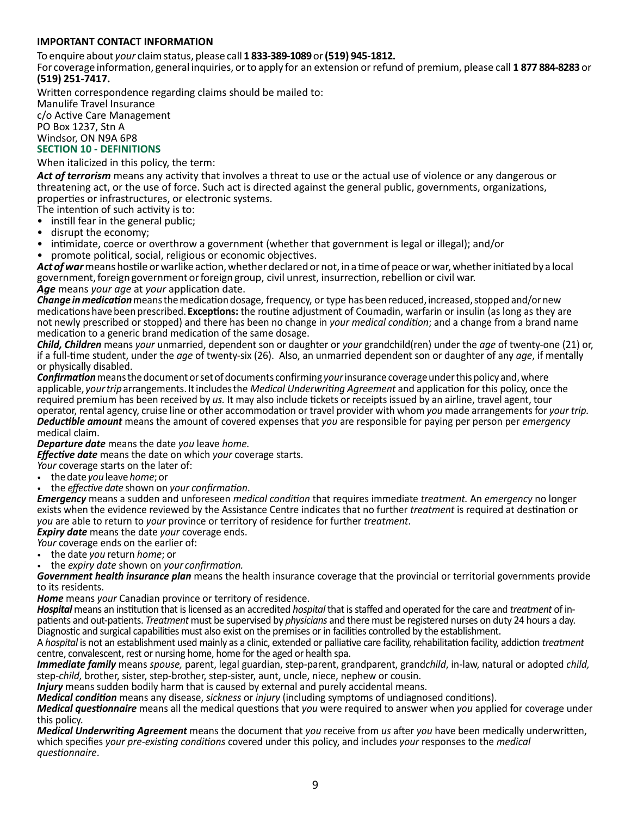#### **IMPORTANT CONTACT INFORMATION**

To enquire about *your* claim status, please call **1 833-389-1089** or **(519) 945-1812.**

For coverage information, general inquiries, or to apply for an extension or refund of premium, please call **1 877 884‑8283** or **(519) 251‑7417.**

Written correspondence regarding claims should be mailed to:

Manulife Travel Insurance c/o Active Care Management PO Box 1237, Stn A Windsor, ON N9A 6P8

## **SECTION 10 - DEFINITIONS**

When italicized in this policy, the term:

*Act of terrorism* means any activity that involves a threat to use or the actual use of violence or any dangerous or threatening act, or the use of force. Such act is directed against the general public, governments, organizations, properties or infrastructures, or electronic systems.

The intention of such activity is to:

- instill fear in the general public;<br>• disrupt the economy:
- disrupt the economy;
- intimidate, coerce or overthrow a government (whether that government is legal or illegal); and/or
- promote political, social, religious or economic objectives.

*Act of war* means hostile or warlike action, whether declared or not, in a time of peace or war, whether initiated by a local government, foreign government or foreign group, civil unrest, insurrection, rebellion or civil war. *Age* means *your age* at *your* application date.

*Change in medication* means the medication dosage, frequency, or type has been reduced, increased, stopped and/or new medications have been prescribed. **Exceptions:** the routine adjustment of Coumadin, warfarin or insulin (as long as they are not newly prescribed or stopped) and there has been no change in *your medical condition*; and a change from a brand name medication to a generic brand medication of the same dosage.

*Child, Children* means *your* unmarried, dependent son or daughter or *your* grandchild(ren) under the *age* of twenty‑one (21) or, if a full‑time student, under the *age* of twenty‑six (26). Also, an unmarried dependent son or daughter of any *age*, if mentally or physically disabled.

*Confirmation* means the document or set of documents confirming *your* insurance coverage under this policy and, where applicable, *your trip* arrangements. It includes the *Medical Underwriting Agreement* and application for this policy, once the required premium has been received by *us.* It may also include tickets or receipts issued by an airline, travel agent, tour operator, rental agency, cruise line or other accommodation or travel provider with whom *you* made arrangements for *your trip. Deductible amount* means the amount of covered expenses that *you* are responsible for paying per person per *emergency*

medical claim.

*Departure date* means the date *you* leave *home.*

*Effective date* means the date on which *your* coverage starts.

*Your* coverage starts on the later of:

• the date *you* leave *home*; or

• the *effective date* shown on *your confirmation*.

*Emergency* means a sudden and unforeseen *medical condition* that requires immediate *treatment.* An *emergency* no longer exists when the evidence reviewed by the Assistance Centre indicates that no further *treatment* is required at destination or *you* are able to return to *your* province or territory of residence for further *treatment*.

*Expiry date* means the date *your* coverage ends.

*Your* coverage ends on the earlier of:

• the date *you* return *home*; or • the *expiry date* shown on *your confirmation.*

*Government health insurance plan* means the health insurance coverage that the provincial or territorial governments provide to its residents.

*Home* means *your* Canadian province or territory of residence.

*Hospital* means an institution that is licensed as an accredited *hospital* that is staffed and operated for the care and *treatment* of in‑ patients and out‑patients. *Treatment* must be supervised by *physicians* and there must be registered nurses on duty 24 hours a day. Diagnostic and surgical capabilities must also exist on the premises or in facilities controlled by the establishment.

A *hospital* is not an establishment used mainly as a clinic, extended or palliative care facility, rehabilitation facility, addiction *treatment* centre, convalescent, rest or nursing home, home for the aged or health spa.

*Immediate family* means *spouse,* parent, legal guardian, step‑parent, grandparent, grand*child*, in‑law, natural or adopted *child,* step-*child*, brother, sister, step-brother, step-sister, aunt, uncle, niece, nephew or cousin.

*Injury* means sudden bodily harm that is caused by external and purely accidental means.

*Medical condition* means any disease, *sickness* or *injury* (including symptoms of undiagnosed conditions).

*Medical questionnaire* means all the medical questions that *you* were required to answer when *you* applied for coverage under this policy.

*Medical Underwriting Agreement* means the document that *you* receive from *us* after *you* have been medically underwritten, which specifies *your pre-existing conditions* covered under this policy, and includes *your* responses to the *medical questionnaire*.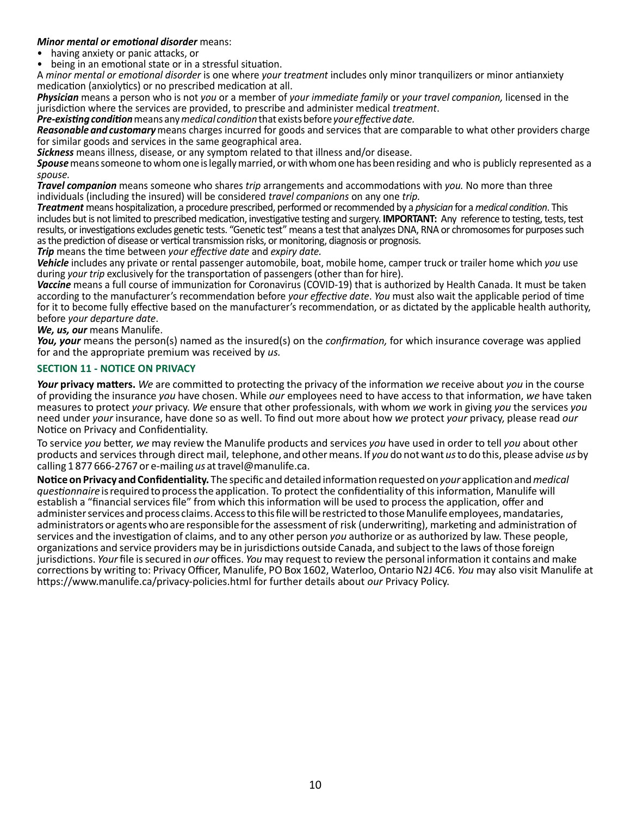#### *Minor mental or emotional disorder* means:

- having anxiety or panic attacks, or
- being in an emotional state or in a stressful situation.

A *minor mental or emotional disorder* is one where *your treatment* includes only minor tranquilizers or minor antianxiety medication (anxiolytics) or no prescribed medication at all.

*Physician* means a person who is not *you* or a member of *your immediate family* or *your travel companion,* licensed in the jurisdiction where the services are provided, to prescribe and administer medical *treatment*.

*Pre-existing condition* means any *medical condition* that exists before *your effective date.* 

*Reasonable and customary* means charges incurred for goods and services that are comparable to what other providers charge for similar goods and services in the same geographical area.

*Sickness* means illness, disease, or any symptom related to that illness and/or disease.

*Spouse* means someone to whom one is legally married, or with whom one has been residing and who is publicly represented as a *spouse.*

*Travel companion* means someone who shares *trip* arrangements and accommodations with *you.* No more than three individuals (including the insured) will be considered *travel companions* on any one *trip.*

*Treatment* means hospitalization, a procedure prescribed, performed or recommended by a *physician* for a *medical condition*. This includes but is not limited to prescribed medication, investigative testing and surgery. **IMPORTANT:** Any reference to testing, tests, test results, or investigations excludes genetic tests. "Genetic test" means a test that analyzes DNA, RNA or chromosomes for purposes such as the prediction of disease or vertical transmission risks, or monitoring, diagnosis or prognosis.

*Trip* means the time between *your effective date* and *expiry date.*

*Vehicle* includes any private or rental passenger automobile, boat, mobile home, camper truck or trailer home which *you* use during *your trip* exclusively for the transportation of passengers (other than for hire).

Vaccine means a full course of immunization for Coronavirus (COVID-19) that is authorized by Health Canada. It must be taken according to the manufacturer's recommendation before *your effective date*. *You* must also wait the applicable period of time for it to become fully effective based on the manufacturer's recommendation, or as dictated by the applicable health authority, before *your departure date*.

*We, us, our* means Manulife.

*You, your* means the person(s) named as the insured(s) on the *confirmation,* for which insurance coverage was applied for and the appropriate premium was received by *us.*

#### **SECTION 11 - NOTICE ON PRIVACY**

*Your* **privacy matters.** *We* are committed to protecting the privacy of the information *we* receive about *you* in the course of providing the insurance *you* have chosen. While *our* employees need to have access to that information, *we* have taken measures to protect *your* privacy. *We* ensure that other professionals, with whom *we* work in giving *you* the services *you*  need under *your* insurance, have done so as well. To find out more about how *we* protect *your* privacy, please read *our*  Notice on Privacy and Confidentiality.

To service *you* better, *we* may review the Manulife products and services *you* have used in order to tell *you* about other products and services through direct mail, telephone, and other means. If *you* do not want *us* to do this, please advise *us* by calling 1 877 666‑2767 or e‑mailing *us* at travel@manulife.ca.

**Notice on Privacy and Confidentiality.** The specific and detailed information requested on *your* application and *medical questionnaire* is required to process the application. To protect the confidentiality of this information, Manulife will establish a "financial services file" from which this information will be used to process the application, offer and administer services and process claims. Access to this file will be restricted to those Manulife employees, mandataries, administrators or agents who are responsible for the assessment of risk (underwriting), marketing and administration of services and the investigation of claims, and to any other person *you* authorize or as authorized by law. These people, organizations and service providers may be in jurisdictions outside Canada, and subject to the laws of those foreign jurisdictions. *Your* file is secured in *our* offices. *You* may request to review the personal information it contains and make corrections by writing to: Privacy Officer, Manulife, PO Box 1602, Waterloo, Ontario N2J 4C6. *You* may also visit Manulife at https://www.manulife.ca/privacy‑policies.html for further details about *our* Privacy Policy.